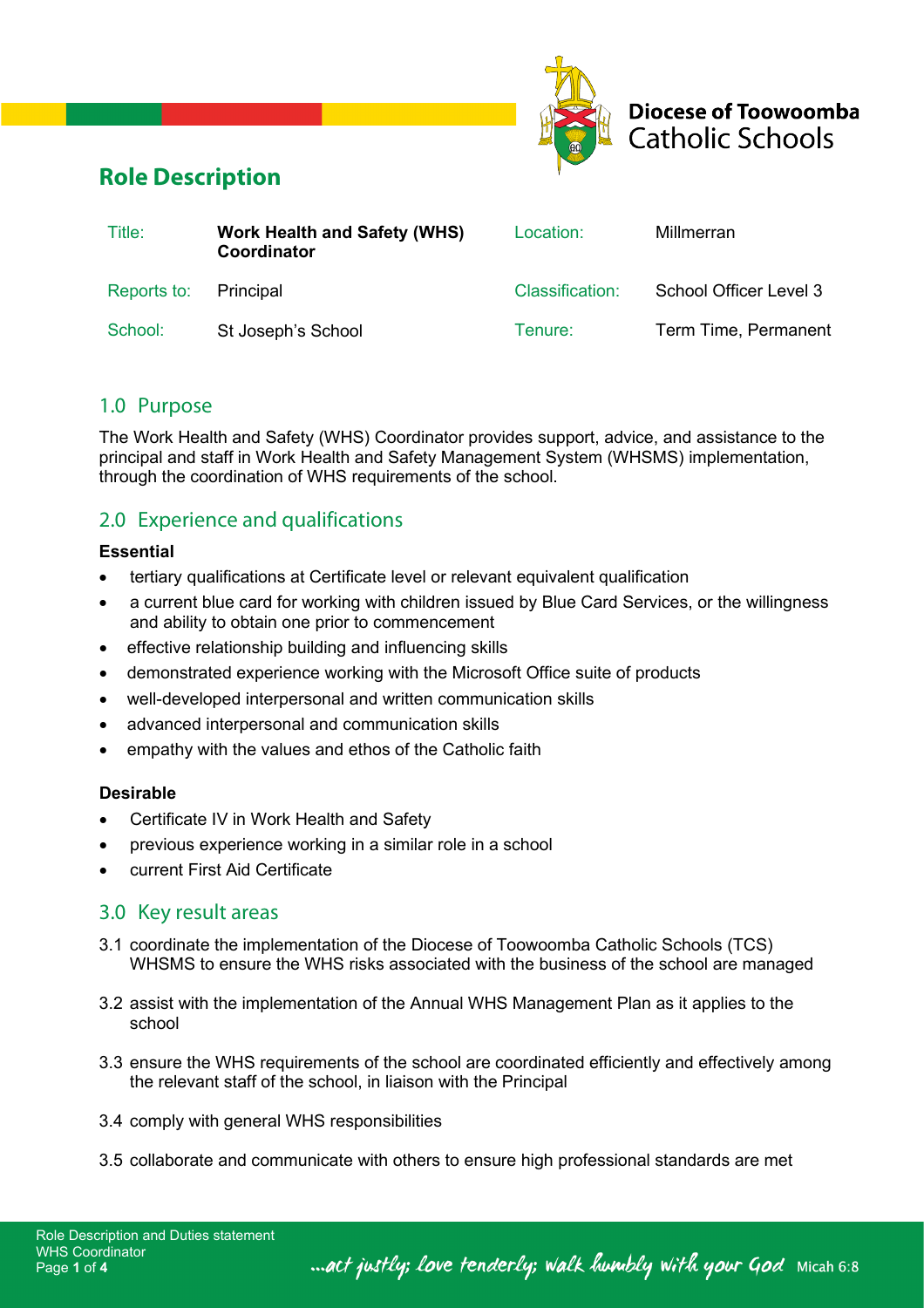

**Diocese of Toowoomba Catholic Schools** 

# **Role Description**

| Title:      | <b>Work Health and Safety (WHS)</b><br>Coordinator | Location:       | Millmerran             |
|-------------|----------------------------------------------------|-----------------|------------------------|
| Reports to: | Principal                                          | Classification: | School Officer Level 3 |
| School:     | St Joseph's School                                 | Tenure:         | Term Time, Permanent   |

## 1.0 Purpose

The Work Health and Safety (WHS) Coordinator provides support, advice, and assistance to the principal and staff in Work Health and Safety Management System (WHSMS) implementation, through the coordination of WHS requirements of the school.

## 2.0 Experience and qualifications

#### **Essential**

- tertiary qualifications at Certificate level or relevant equivalent qualification
- a current blue card for working with children issued by Blue Card Services, or the willingness and ability to obtain one prior to commencement
- effective relationship building and influencing skills
- demonstrated experience working with the Microsoft Office suite of products
- well-developed interpersonal and written communication skills
- advanced interpersonal and communication skills
- empathy with the values and ethos of the Catholic faith

#### **Desirable**

- Certificate IV in Work Health and Safety
- previous experience working in a similar role in a school
- current First Aid Certificate

## 3.0 Key result areas

- 3.1 coordinate the implementation of the Diocese of Toowoomba Catholic Schools (TCS) WHSMS to ensure the WHS risks associated with the business of the school are managed
- 3.2 assist with the implementation of the Annual WHS Management Plan as it applies to the school
- 3.3 ensure the WHS requirements of the school are coordinated efficiently and effectively among the relevant staff of the school, in liaison with the Principal
- 3.4 comply with general WHS responsibilities
- 3.5 collaborate and communicate with others to ensure high professional standards are met

... act justly; love tenderly; walk humbly with your God Micah 6:8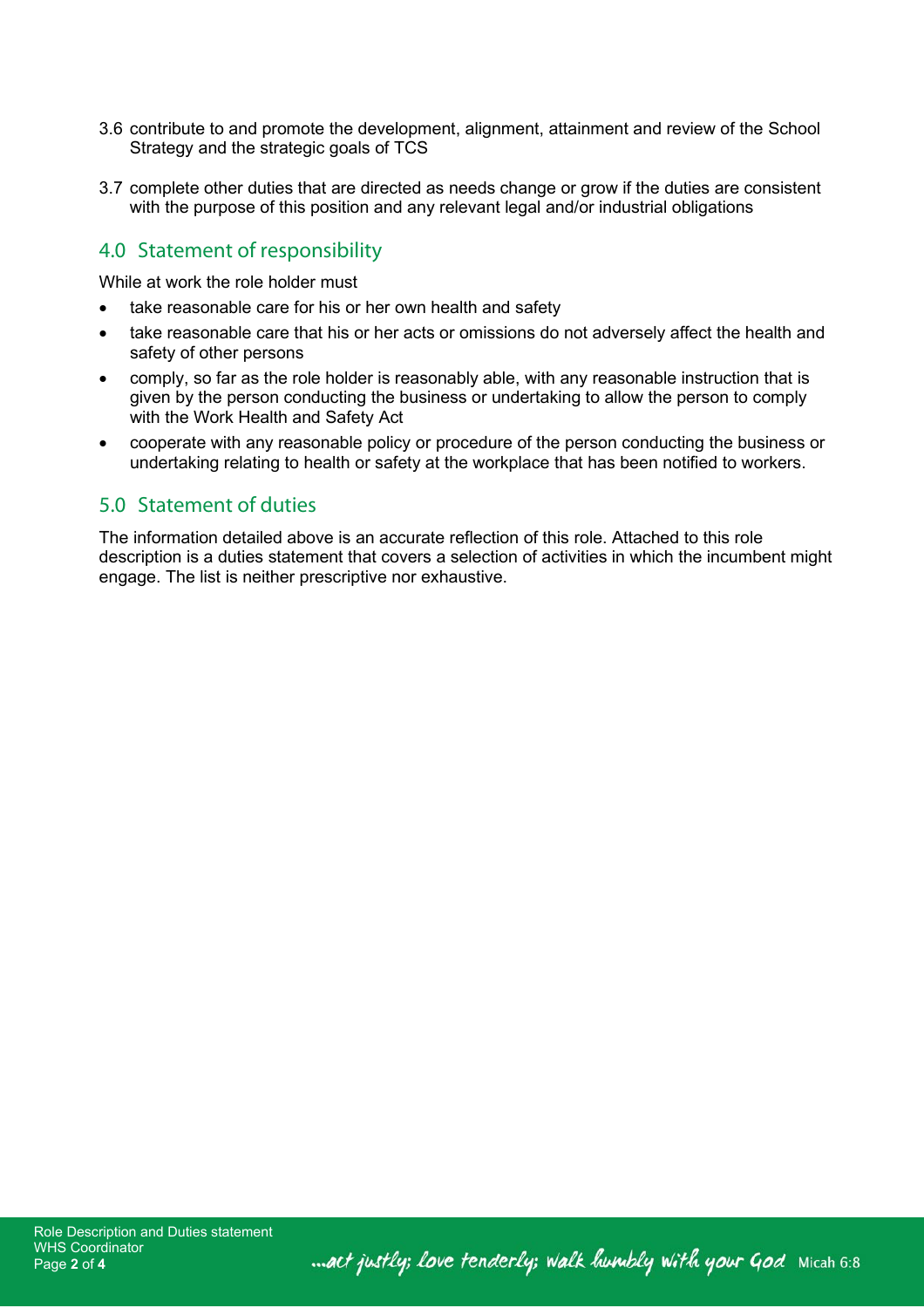- 3.6 contribute to and promote the development, alignment, attainment and review of the School Strategy and the strategic goals of TCS
- 3.7 complete other duties that are directed as needs change or grow if the duties are consistent with the purpose of this position and any relevant legal and/or industrial obligations

# 4.0 Statement of responsibility

While at work the role holder must

- take reasonable care for his or her own health and safety
- take reasonable care that his or her acts or omissions do not adversely affect the health and safety of other persons
- comply, so far as the role holder is reasonably able, with any reasonable instruction that is given by the person conducting the business or undertaking to allow the person to comply with the Work Health and Safety Act
- cooperate with any reasonable policy or procedure of the person conducting the business or undertaking relating to health or safety at the workplace that has been notified to workers.

## 5.0 Statement of duties

The information detailed above is an accurate reflection of this role. Attached to this role description is a duties statement that covers a selection of activities in which the incumbent might engage. The list is neither prescriptive nor exhaustive.

... act justly; love tenderly; walk humbly with your God Micah 6:8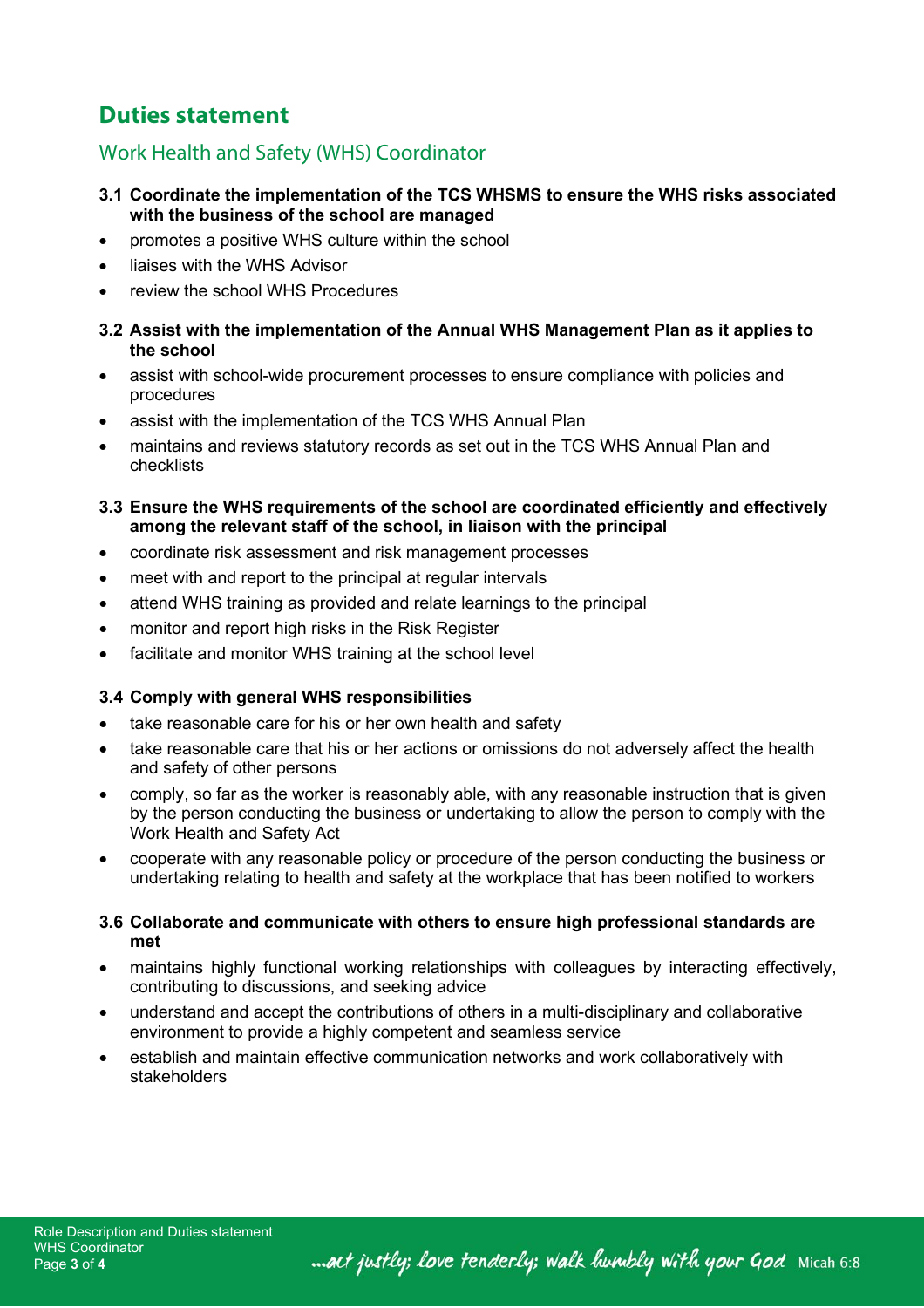# **Duties statement**

# Work Health and Safety (WHS) Coordinator

- **3.1 Coordinate the implementation of the TCS WHSMS to ensure the WHS risks associated with the business of the school are managed**
- promotes a positive WHS culture within the school
- liaises with the WHS Advisor
- review the school WHS Procedures

### **3.2 Assist with the implementation of the Annual WHS Management Plan as it applies to the school**

- assist with school-wide procurement processes to ensure compliance with policies and procedures
- assist with the implementation of the TCS WHS Annual Plan
- maintains and reviews statutory records as set out in the TCS WHS Annual Plan and checklists

### **3.3 Ensure the WHS requirements of the school are coordinated efficiently and effectively among the relevant staff of the school, in liaison with the principal**

- coordinate risk assessment and risk management processes
- meet with and report to the principal at regular intervals
- attend WHS training as provided and relate learnings to the principal
- monitor and report high risks in the Risk Register
- facilitate and monitor WHS training at the school level

## **3.4 Comply with general WHS responsibilities**

- take reasonable care for his or her own health and safety
- take reasonable care that his or her actions or omissions do not adversely affect the health and safety of other persons
- comply, so far as the worker is reasonably able, with any reasonable instruction that is given by the person conducting the business or undertaking to allow the person to comply with the Work Health and Safety Act
- cooperate with any reasonable policy or procedure of the person conducting the business or undertaking relating to health and safety at the workplace that has been notified to workers

## **3.6 Collaborate and communicate with others to ensure high professional standards are met**

- maintains highly functional working relationships with colleagues by interacting effectively, contributing to discussions, and seeking advice
- understand and accept the contributions of others in a multi-disciplinary and collaborative environment to provide a highly competent and seamless service
- establish and maintain effective communication networks and work collaboratively with stakeholders

... act justly; love tenderly; walk humbly with your God Micah 6:8